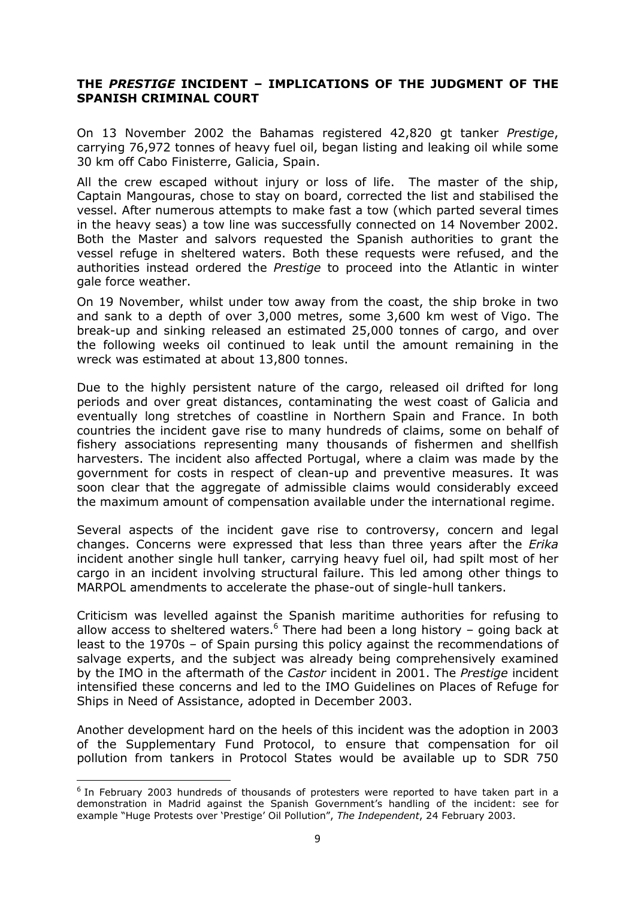#### THE PRESTIGE INCIDENT – IMPLICATIONS OF THE JUDGMENT OF THE SPANISH CRIMINAL COURT

On 13 November 2002 the Bahamas registered 42,820 gt tanker Prestige, carrying 76,972 tonnes of heavy fuel oil, began listing and leaking oil while some 30 km off Cabo Finisterre, Galicia, Spain.

All the crew escaped without injury or loss of life. The master of the ship, Captain Mangouras, chose to stay on board, corrected the list and stabilised the vessel. After numerous attempts to make fast a tow (which parted several times in the heavy seas) a tow line was successfully connected on 14 November 2002. Both the Master and salvors requested the Spanish authorities to grant the vessel refuge in sheltered waters. Both these requests were refused, and the authorities instead ordered the Prestige to proceed into the Atlantic in winter gale force weather.

On 19 November, whilst under tow away from the coast, the ship broke in two and sank to a depth of over 3,000 metres, some 3,600 km west of Vigo. The break-up and sinking released an estimated 25,000 tonnes of cargo, and over the following weeks oil continued to leak until the amount remaining in the wreck was estimated at about 13,800 tonnes.

Due to the highly persistent nature of the cargo, released oil drifted for long periods and over great distances, contaminating the west coast of Galicia and eventually long stretches of coastline in Northern Spain and France. In both countries the incident gave rise to many hundreds of claims, some on behalf of fishery associations representing many thousands of fishermen and shellfish harvesters. The incident also affected Portugal, where a claim was made by the government for costs in respect of clean-up and preventive measures. It was soon clear that the aggregate of admissible claims would considerably exceed the maximum amount of compensation available under the international regime.

Several aspects of the incident gave rise to controversy, concern and legal changes. Concerns were expressed that less than three years after the Erika incident another single hull tanker, carrying heavy fuel oil, had spilt most of her cargo in an incident involving structural failure. This led among other things to MARPOL amendments to accelerate the phase-out of single-hull tankers.

Criticism was levelled against the Spanish maritime authorities for refusing to allow access to sheltered waters. $^6$  There had been a long history - going back at least to the 1970s – of Spain pursing this policy against the recommendations of salvage experts, and the subject was already being comprehensively examined by the IMO in the aftermath of the Castor incident in 2001. The Prestige incident intensified these concerns and led to the IMO Guidelines on Places of Refuge for Ships in Need of Assistance, adopted in December 2003.

Another development hard on the heels of this incident was the adoption in 2003 of the Supplementary Fund Protocol, to ensure that compensation for oil pollution from tankers in Protocol States would be available up to SDR 750

 $\overline{a}$ 

<sup>&</sup>lt;sup>6</sup> In February 2003 hundreds of thousands of protesters were reported to have taken part in a demonstration in Madrid against the Spanish Government's handling of the incident: see for example "Huge Protests over 'Prestige' Oil Pollution", The Independent, 24 February 2003.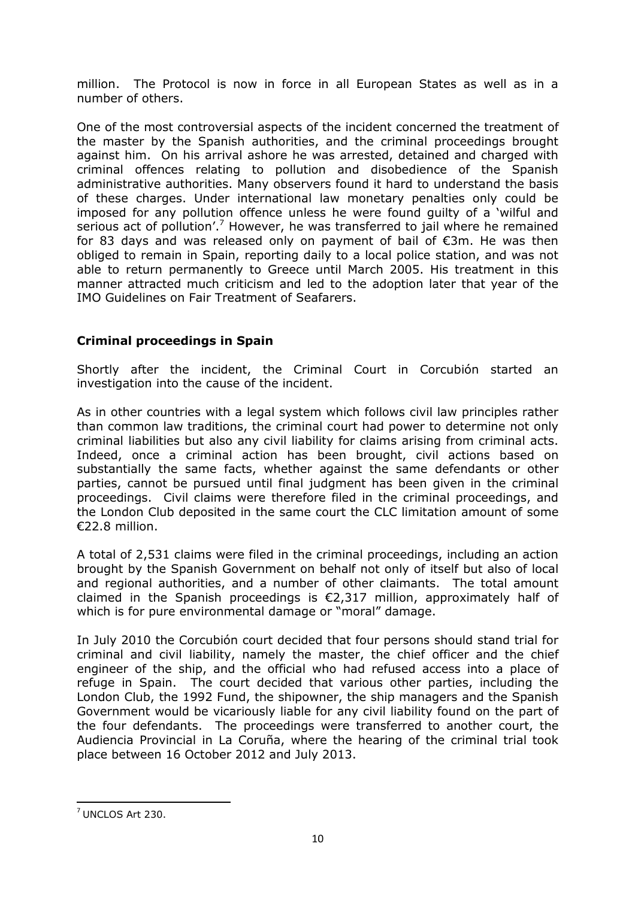million. The Protocol is now in force in all European States as well as in a number of others.

One of the most controversial aspects of the incident concerned the treatment of the master by the Spanish authorities, and the criminal proceedings brought against him. On his arrival ashore he was arrested, detained and charged with criminal offences relating to pollution and disobedience of the Spanish administrative authorities. Many observers found it hard to understand the basis of these charges. Under international law monetary penalties only could be imposed for any pollution offence unless he were found guilty of a 'wilful and serious act of pollution'.<sup>7</sup> However, he was transferred to jail where he remained for 83 days and was released only on payment of bail of €3m. He was then obliged to remain in Spain, reporting daily to a local police station, and was not able to return permanently to Greece until March 2005. His treatment in this manner attracted much criticism and led to the adoption later that year of the IMO Guidelines on Fair Treatment of Seafarers.

# Criminal proceedings in Spain

Shortly after the incident, the Criminal Court in Corcubión started an investigation into the cause of the incident.

As in other countries with a legal system which follows civil law principles rather than common law traditions, the criminal court had power to determine not only criminal liabilities but also any civil liability for claims arising from criminal acts. Indeed, once a criminal action has been brought, civil actions based on substantially the same facts, whether against the same defendants or other parties, cannot be pursued until final judgment has been given in the criminal proceedings. Civil claims were therefore filed in the criminal proceedings, and the London Club deposited in the same court the CLC limitation amount of some €22.8 million.

A total of 2,531 claims were filed in the criminal proceedings, including an action brought by the Spanish Government on behalf not only of itself but also of local and regional authorities, and a number of other claimants. The total amount claimed in the Spanish proceedings is  $\epsilon$ 2,317 million, approximately half of which is for pure environmental damage or "moral" damage.

In July 2010 the Corcubión court decided that four persons should stand trial for criminal and civil liability, namely the master, the chief officer and the chief engineer of the ship, and the official who had refused access into a place of refuge in Spain. The court decided that various other parties, including the London Club, the 1992 Fund, the shipowner, the ship managers and the Spanish Government would be vicariously liable for any civil liability found on the part of the four defendants. The proceedings were transferred to another court, the Audiencia Provincial in La Coruña, where the hearing of the criminal trial took place between 16 October 2012 and July 2013.

 $\overline{a}$ 

 $7$  UNCLOS Art 230.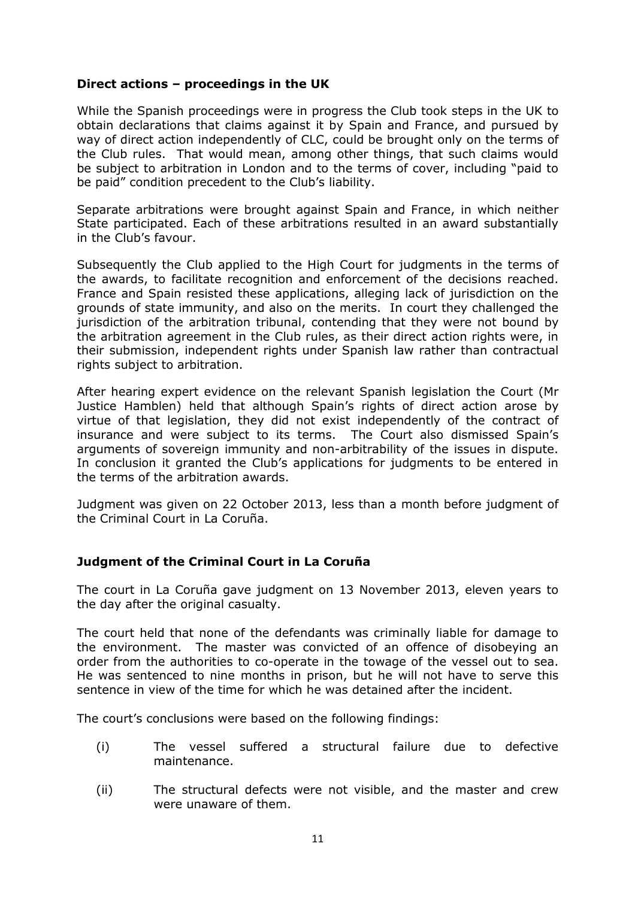### Direct actions – proceedings in the UK

While the Spanish proceedings were in progress the Club took steps in the UK to obtain declarations that claims against it by Spain and France, and pursued by way of direct action independently of CLC, could be brought only on the terms of the Club rules. That would mean, among other things, that such claims would be subject to arbitration in London and to the terms of cover, including "paid to be paid" condition precedent to the Club's liability.

Separate arbitrations were brought against Spain and France, in which neither State participated. Each of these arbitrations resulted in an award substantially in the Club's favour.

Subsequently the Club applied to the High Court for judgments in the terms of the awards, to facilitate recognition and enforcement of the decisions reached. France and Spain resisted these applications, alleging lack of jurisdiction on the grounds of state immunity, and also on the merits. In court they challenged the jurisdiction of the arbitration tribunal, contending that they were not bound by the arbitration agreement in the Club rules, as their direct action rights were, in their submission, independent rights under Spanish law rather than contractual rights subject to arbitration.

After hearing expert evidence on the relevant Spanish legislation the Court (Mr Justice Hamblen) held that although Spain's rights of direct action arose by virtue of that legislation, they did not exist independently of the contract of insurance and were subject to its terms. The Court also dismissed Spain's arguments of sovereign immunity and non-arbitrability of the issues in dispute. In conclusion it granted the Club's applications for judgments to be entered in the terms of the arbitration awards.

Judgment was given on 22 October 2013, less than a month before judgment of the Criminal Court in La Coruña.

## Judgment of the Criminal Court in La Coruña

The court in La Coruña gave judgment on 13 November 2013, eleven years to the day after the original casualty.

The court held that none of the defendants was criminally liable for damage to the environment. The master was convicted of an offence of disobeying an order from the authorities to co-operate in the towage of the vessel out to sea. He was sentenced to nine months in prison, but he will not have to serve this sentence in view of the time for which he was detained after the incident.

The court's conclusions were based on the following findings:

- (i) The vessel suffered a structural failure due to defective maintenance.
- (ii) The structural defects were not visible, and the master and crew were unaware of them.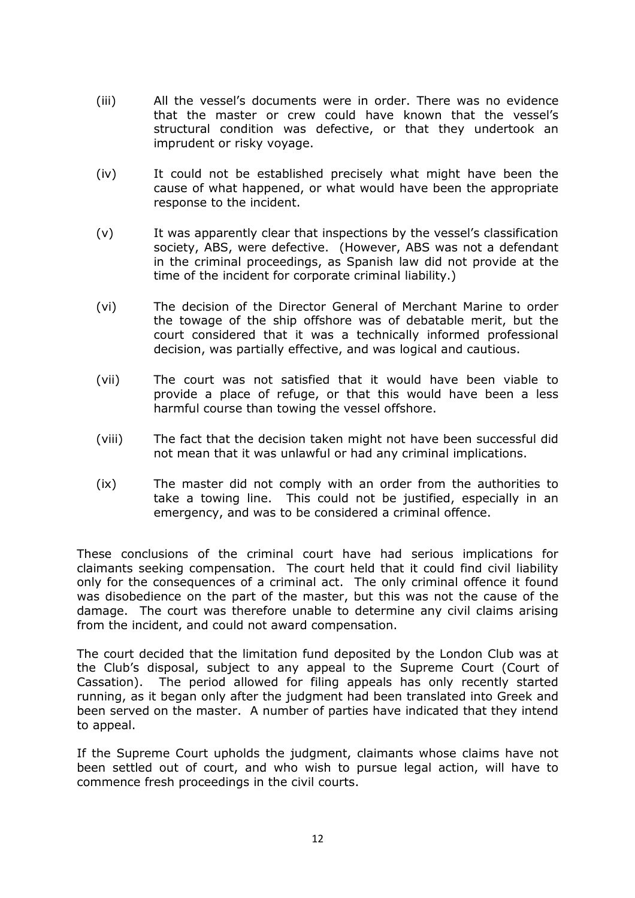- (iii) All the vessel's documents were in order. There was no evidence that the master or crew could have known that the vessel's structural condition was defective, or that they undertook an imprudent or risky voyage.
- (iv) It could not be established precisely what might have been the cause of what happened, or what would have been the appropriate response to the incident.
- (v) It was apparently clear that inspections by the vessel's classification society, ABS, were defective. (However, ABS was not a defendant in the criminal proceedings, as Spanish law did not provide at the time of the incident for corporate criminal liability.)
- (vi) The decision of the Director General of Merchant Marine to order the towage of the ship offshore was of debatable merit, but the court considered that it was a technically informed professional decision, was partially effective, and was logical and cautious.
- (vii) The court was not satisfied that it would have been viable to provide a place of refuge, or that this would have been a less harmful course than towing the vessel offshore.
- (viii) The fact that the decision taken might not have been successful did not mean that it was unlawful or had any criminal implications.
- (ix) The master did not comply with an order from the authorities to take a towing line. This could not be justified, especially in an emergency, and was to be considered a criminal offence.

These conclusions of the criminal court have had serious implications for claimants seeking compensation. The court held that it could find civil liability only for the consequences of a criminal act. The only criminal offence it found was disobedience on the part of the master, but this was not the cause of the damage. The court was therefore unable to determine any civil claims arising from the incident, and could not award compensation.

The court decided that the limitation fund deposited by the London Club was at the Club's disposal, subject to any appeal to the Supreme Court (Court of Cassation). The period allowed for filing appeals has only recently started running, as it began only after the judgment had been translated into Greek and been served on the master. A number of parties have indicated that they intend to appeal.

If the Supreme Court upholds the judgment, claimants whose claims have not been settled out of court, and who wish to pursue legal action, will have to commence fresh proceedings in the civil courts.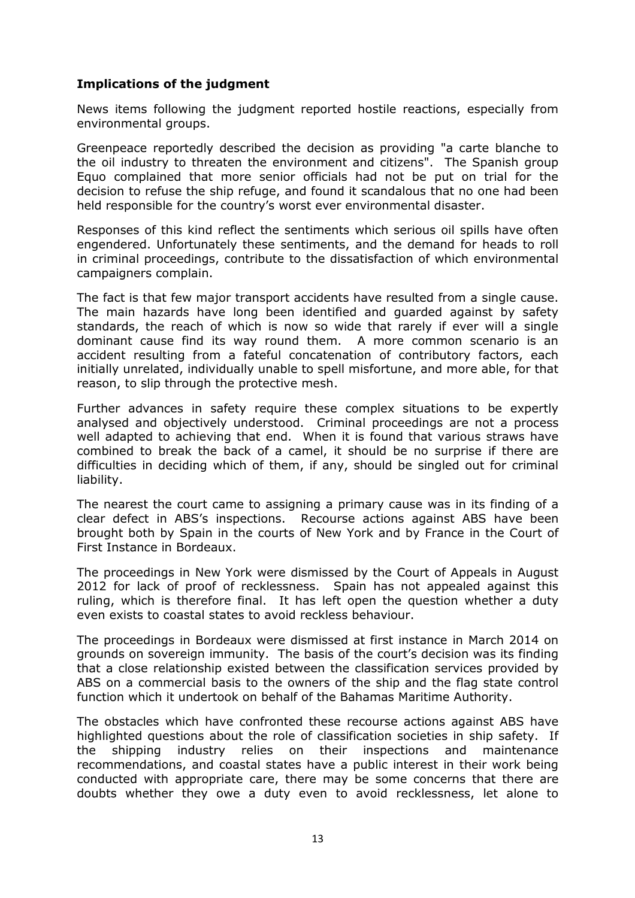## Implications of the judgment

News items following the judgment reported hostile reactions, especially from environmental groups.

Greenpeace reportedly described the decision as providing "a carte blanche to the oil industry to threaten the environment and citizens". The Spanish group Equo complained that more senior officials had not be put on trial for the decision to refuse the ship refuge, and found it scandalous that no one had been held responsible for the country's worst ever environmental disaster.

Responses of this kind reflect the sentiments which serious oil spills have often engendered. Unfortunately these sentiments, and the demand for heads to roll in criminal proceedings, contribute to the dissatisfaction of which environmental campaigners complain.

The fact is that few major transport accidents have resulted from a single cause. The main hazards have long been identified and guarded against by safety standards, the reach of which is now so wide that rarely if ever will a single dominant cause find its way round them. A more common scenario is an accident resulting from a fateful concatenation of contributory factors, each initially unrelated, individually unable to spell misfortune, and more able, for that reason, to slip through the protective mesh.

Further advances in safety require these complex situations to be expertly analysed and objectively understood. Criminal proceedings are not a process well adapted to achieving that end. When it is found that various straws have combined to break the back of a camel, it should be no surprise if there are difficulties in deciding which of them, if any, should be singled out for criminal liability.

The nearest the court came to assigning a primary cause was in its finding of a clear defect in ABS's inspections. Recourse actions against ABS have been brought both by Spain in the courts of New York and by France in the Court of First Instance in Bordeaux.

The proceedings in New York were dismissed by the Court of Appeals in August 2012 for lack of proof of recklessness. Spain has not appealed against this ruling, which is therefore final. It has left open the question whether a duty even exists to coastal states to avoid reckless behaviour.

The proceedings in Bordeaux were dismissed at first instance in March 2014 on grounds on sovereign immunity. The basis of the court's decision was its finding that a close relationship existed between the classification services provided by ABS on a commercial basis to the owners of the ship and the flag state control function which it undertook on behalf of the Bahamas Maritime Authority.

The obstacles which have confronted these recourse actions against ABS have highlighted questions about the role of classification societies in ship safety. If the shipping industry relies on their inspections and maintenance recommendations, and coastal states have a public interest in their work being conducted with appropriate care, there may be some concerns that there are doubts whether they owe a duty even to avoid recklessness, let alone to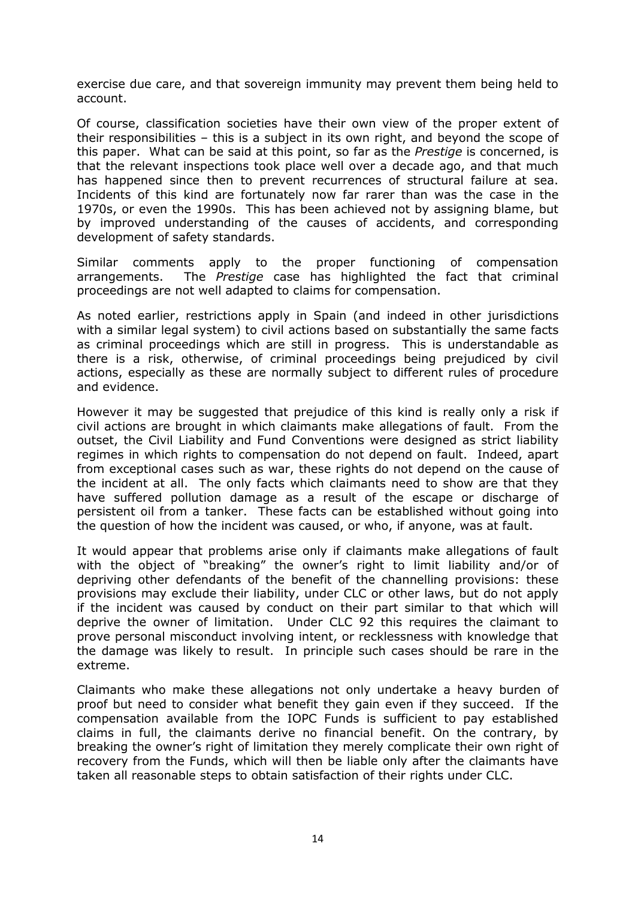exercise due care, and that sovereign immunity may prevent them being held to account.

Of course, classification societies have their own view of the proper extent of their responsibilities – this is a subject in its own right, and beyond the scope of this paper. What can be said at this point, so far as the Prestige is concerned, is that the relevant inspections took place well over a decade ago, and that much has happened since then to prevent recurrences of structural failure at sea. Incidents of this kind are fortunately now far rarer than was the case in the 1970s, or even the 1990s. This has been achieved not by assigning blame, but by improved understanding of the causes of accidents, and corresponding development of safety standards.

Similar comments apply to the proper functioning of compensation arrangements. The Prestige case has highlighted the fact that criminal proceedings are not well adapted to claims for compensation.

As noted earlier, restrictions apply in Spain (and indeed in other jurisdictions with a similar legal system) to civil actions based on substantially the same facts as criminal proceedings which are still in progress. This is understandable as there is a risk, otherwise, of criminal proceedings being prejudiced by civil actions, especially as these are normally subject to different rules of procedure and evidence.

However it may be suggested that prejudice of this kind is really only a risk if civil actions are brought in which claimants make allegations of fault. From the outset, the Civil Liability and Fund Conventions were designed as strict liability regimes in which rights to compensation do not depend on fault. Indeed, apart from exceptional cases such as war, these rights do not depend on the cause of the incident at all. The only facts which claimants need to show are that they have suffered pollution damage as a result of the escape or discharge of persistent oil from a tanker. These facts can be established without going into the question of how the incident was caused, or who, if anyone, was at fault.

It would appear that problems arise only if claimants make allegations of fault with the object of "breaking" the owner's right to limit liability and/or of depriving other defendants of the benefit of the channelling provisions: these provisions may exclude their liability, under CLC or other laws, but do not apply if the incident was caused by conduct on their part similar to that which will deprive the owner of limitation. Under CLC 92 this requires the claimant to prove personal misconduct involving intent, or recklessness with knowledge that the damage was likely to result. In principle such cases should be rare in the extreme.

Claimants who make these allegations not only undertake a heavy burden of proof but need to consider what benefit they gain even if they succeed. If the compensation available from the IOPC Funds is sufficient to pay established claims in full, the claimants derive no financial benefit. On the contrary, by breaking the owner's right of limitation they merely complicate their own right of recovery from the Funds, which will then be liable only after the claimants have taken all reasonable steps to obtain satisfaction of their rights under CLC.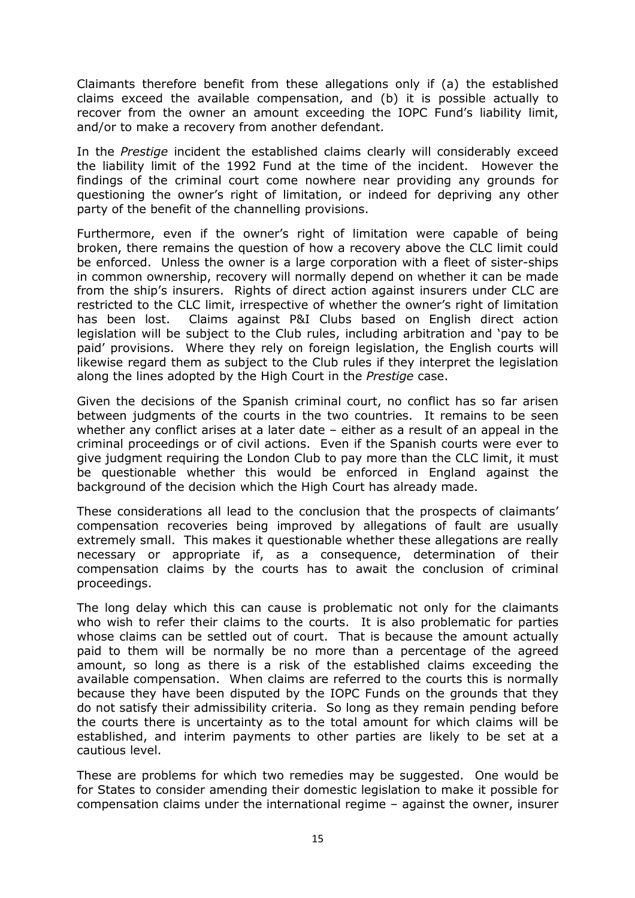Claimants therefore benefit from these allegations only if (a) the established claims exceed the available compensation, and (b) it is possible actually to recover from the owner an amount exceeding the IOPC Fund's liability limit, and/or to make a recovery from another defendant.

In the Prestige incident the established claims clearly will considerably exceed the liability limit of the 1992 Fund at the time of the incident. However the findings of the criminal court come nowhere near providing any grounds for questioning the owner's right of limitation, or indeed for depriving any other party of the benefit of the channelling provisions.

Furthermore, even if the owner's right of limitation were capable of being broken, there remains the question of how a recovery above the CLC limit could be enforced. Unless the owner is a large corporation with a fleet of sister-ships in common ownership, recovery will normally depend on whether it can be made from the ship's insurers. Rights of direct action against insurers under CLC are restricted to the CLC limit, irrespective of whether the owner's right of limitation has been lost. Claims against P&I Clubs based on English direct action legislation will be subject to the Club rules, including arbitration and 'pay to be paid' provisions. Where they rely on foreign legislation, the English courts will likewise regard them as subject to the Club rules if they interpret the legislation along the lines adopted by the High Court in the Prestige case.

Given the decisions of the Spanish criminal court, no conflict has so far arisen between judgments of the courts in the two countries. It remains to be seen whether any conflict arises at a later date – either as a result of an appeal in the criminal proceedings or of civil actions. Even if the Spanish courts were ever to give judgment requiring the London Club to pay more than the CLC limit, it must be questionable whether this would be enforced in England against the background of the decision which the High Court has already made.

These considerations all lead to the conclusion that the prospects of claimants' compensation recoveries being improved by allegations of fault are usually extremely small. This makes it questionable whether these allegations are really necessary or appropriate if, as a consequence, determination of their compensation claims by the courts has to await the conclusion of criminal proceedings.

The long delay which this can cause is problematic not only for the claimants who wish to refer their claims to the courts. It is also problematic for parties whose claims can be settled out of court. That is because the amount actually paid to them will be normally be no more than a percentage of the agreed amount, so long as there is a risk of the established claims exceeding the available compensation. When claims are referred to the courts this is normally because they have been disputed by the IOPC Funds on the grounds that they do not satisfy their admissibility criteria. So long as they remain pending before the courts there is uncertainty as to the total amount for which claims will be established, and interim payments to other parties are likely to be set at a cautious level.

These are problems for which two remedies may be suggested. One would be for States to consider amending their domestic legislation to make it possible for compensation claims under the international regime – against the owner, insurer